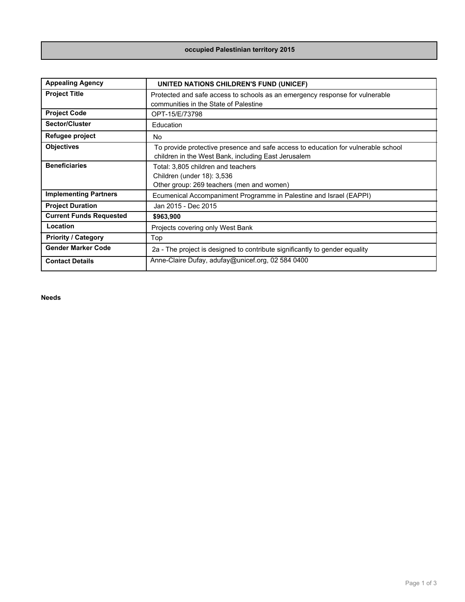## **occupied Palestinian territory 2015**

| <b>Appealing Agency</b>        | UNITED NATIONS CHILDREN'S FUND (UNICEF)                                                                                                  |
|--------------------------------|------------------------------------------------------------------------------------------------------------------------------------------|
| <b>Project Title</b>           | Protected and safe access to schools as an emergency response for vulnerable<br>communities in the State of Palestine                    |
| <b>Project Code</b>            | OPT-15/E/73798                                                                                                                           |
| Sector/Cluster                 | Education                                                                                                                                |
| Refugee project                | No                                                                                                                                       |
| <b>Objectives</b>              | To provide protective presence and safe access to education for vulnerable school<br>children in the West Bank, including East Jerusalem |
| <b>Beneficiaries</b>           | Total: 3,805 children and teachers<br>Children (under 18): 3,536<br>Other group: 269 teachers (men and women)                            |
| <b>Implementing Partners</b>   | Ecumenical Accompaniment Programme in Palestine and Israel (EAPPI)                                                                       |
| <b>Project Duration</b>        | Jan 2015 - Dec 2015                                                                                                                      |
| <b>Current Funds Requested</b> | \$963,900                                                                                                                                |
| Location                       | Projects covering only West Bank                                                                                                         |
| <b>Priority / Category</b>     | Top                                                                                                                                      |
| <b>Gender Marker Code</b>      | 2a - The project is designed to contribute significantly to gender equality                                                              |
| <b>Contact Details</b>         | Anne-Claire Dufay, adufay@unicef.org, 02 584 0400                                                                                        |

**Needs**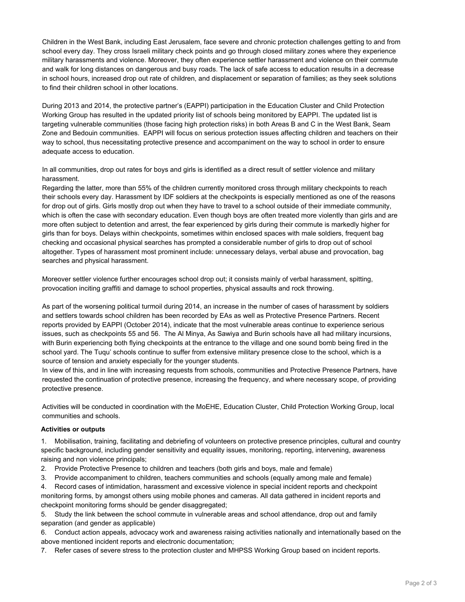Children in the West Bank, including East Jerusalem, face severe and chronic protection challenges getting to and from school every day. They cross Israeli military check points and go through closed military zones where they experience military harassments and violence. Moreover, they often experience settler harassment and violence on their commute and walk for long distances on dangerous and busy roads. The lack of safe access to education results in a decrease in school hours, increased drop out rate of children, and displacement or separation of families; as they seek solutions to find their children school in other locations.

During 2013 and 2014, the protective partner's (EAPPI) participation in the Education Cluster and Child Protection Working Group has resulted in the updated priority list of schools being monitored by EAPPI. The updated list is targeting vulnerable communities (those facing high protection risks) in both Areas B and C in the West Bank, Seam Zone and Bedouin communities. EAPPI will focus on serious protection issues affecting children and teachers on their way to school, thus necessitating protective presence and accompaniment on the way to school in order to ensure adequate access to education.

In all communities, drop out rates for boys and girls is identified as a direct result of settler violence and military harassment.

Regarding the latter, more than 55% of the children currently monitored cross through military checkpoints to reach their schools every day. Harassment by IDF soldiers at the checkpoints is especially mentioned as one of the reasons for drop out of girls. Girls mostly drop out when they have to travel to a school outside of their immediate community, which is often the case with secondary education. Even though boys are often treated more violently than girls and are more often subject to detention and arrest, the fear experienced by girls during their commute is markedly higher for girls than for boys. Delays within checkpoints, sometimes within enclosed spaces with male soldiers, frequent bag checking and occasional physical searches has prompted a considerable number of girls to drop out of school altogether. Types of harassment most prominent include: unnecessary delays, verbal abuse and provocation, bag searches and physical harassment.

Moreover settler violence further encourages school drop out; it consists mainly of verbal harassment, spitting, provocation inciting graffiti and damage to school properties, physical assaults and rock throwing.

As part of the worsening political turmoil during 2014, an increase in the number of cases of harassment by soldiers and settlers towards school children has been recorded by EAs as well as Protective Presence Partners. Recent reports provided by EAPPI (October 2014), indicate that the most vulnerable areas continue to experience serious issues, such as checkpoints 55 and 56. The Al Minya, As Sawiya and Burin schools have all had military incursions, with Burin experiencing both flying checkpoints at the entrance to the village and one sound bomb being fired in the school yard. The Tuqu' schools continue to suffer from extensive military presence close to the school, which is a source of tension and anxiety especially for the younger students.

In view of this, and in line with increasing requests from schools, communities and Protective Presence Partners, have requested the continuation of protective presence, increasing the frequency, and where necessary scope, of providing protective presence.

Activities will be conducted in coordination with the MoEHE, Education Cluster, Child Protection Working Group, local communities and schools.

## **Activities or outputs**

1. Mobilisation, training, facilitating and debriefing of volunteers on protective presence principles, cultural and country specific background, including gender sensitivity and equality issues, monitoring, reporting, intervening, awareness raising and non violence principals;

- 2. Provide Protective Presence to children and teachers (both girls and boys, male and female)
- 3. Provide accompaniment to children, teachers communities and schools (equally among male and female)

4. Record cases of intimidation, harassment and excessive violence in special incident reports and checkpoint monitoring forms, by amongst others using mobile phones and cameras. All data gathered in incident reports and checkpoint monitoring forms should be gender disaggregated;

5. Study the link between the school commute in vulnerable areas and school attendance, drop out and family separation (and gender as applicable)

6. Conduct action appeals, advocacy work and awareness raising activities nationally and internationally based on the above mentioned incident reports and electronic documentation;

7. Refer cases of severe stress to the protection cluster and MHPSS Working Group based on incident reports.